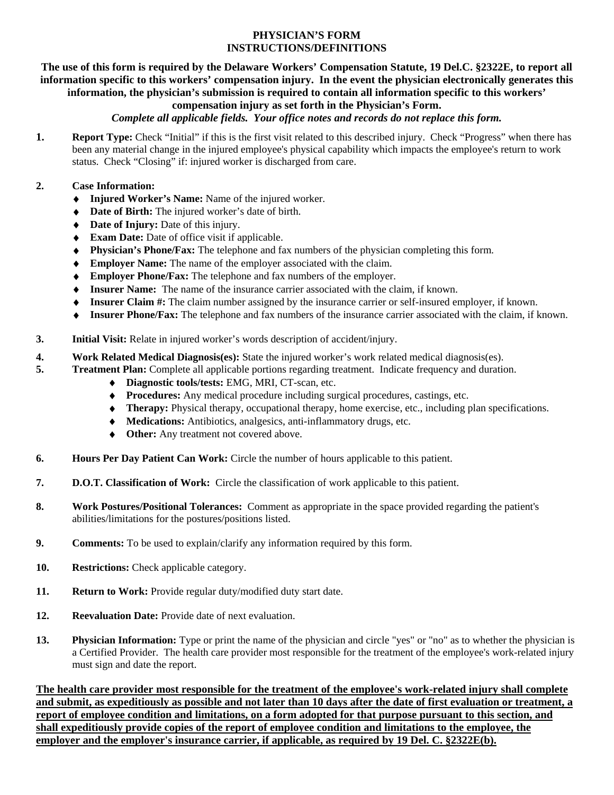# **PHYSICIAN'S FORM INSTRUCTIONS/DEFINITIONS**

**The use of this form is required by the Delaware Workers' Compensation Statute, 19 Del.C. §2322E, to report all information specific to this workers' compensation injury. In the event the physician electronically generates this information, the physician's submission is required to contain all information specific to this workers'** 

# **compensation injury as set forth in the Physician's Form.**

# *Complete all applicable fields. Your office notes and records do not replace this form.*

**1.** Report Type: Check "Initial" if this is the first visit related to this described injury. Check "Progress" when there has been any material change in the injured employee's physical capability which impacts the employee's return to work status. Check "Closing" if: injured worker is discharged from care.

#### **2. Case Information:**

- **Injured Worker's Name:** Name of the injured worker.
- **Date of Birth:** The injured worker's date of birth.
- ◆ **Date of Injury:** Date of this injury.
- ◆ **Exam Date:** Date of office visit if applicable.
- **Physician's Phone/Fax:** The telephone and fax numbers of the physician completing this form.
- **Employer Name:** The name of the employer associated with the claim.
- **Employer Phone/Fax:** The telephone and fax numbers of the employer.
- **Insurer Name:** The name of the insurance carrier associated with the claim, if known.
- **Insurer Claim #:** The claim number assigned by the insurance carrier or self-insured employer, if known.
- **Insurer Phone/Fax:** The telephone and fax numbers of the insurance carrier associated with the claim, if known.
- **3. Initial Visit:** Relate in injured worker's words description of accident/injury.
- **4. Work Related Medical Diagnosis(es):** State the injured worker's work related medical diagnosis(es).
- **5. Treatment Plan:** Complete all applicable portions regarding treatment. Indicate frequency and duration.
	- **Diagnostic tools/tests:** EMG, MRI, CT-scan, etc.
	- **Procedures:** Any medical procedure including surgical procedures, castings, etc.
	- **Therapy:** Physical therapy, occupational therapy, home exercise, etc., including plan specifications.
	- **Medications:** Antibiotics, analgesics, anti-inflammatory drugs, etc.
	- ◆ Other: Any treatment not covered above.
- **6. Hours Per Day Patient Can Work:** Circle the number of hours applicable to this patient.
- **7. D.O.T. Classification of Work:** Circle the classification of work applicable to this patient.
- **8. Work Postures/Positional Tolerances:** Comment as appropriate in the space provided regarding the patient's abilities/limitations for the postures/positions listed.
- **9. Comments:** To be used to explain/clarify any information required by this form.
- **10.** Restrictions: Check applicable category.
- 11. Return to Work: Provide regular duty/modified duty start date.
- **12. Reevaluation Date:** Provide date of next evaluation.
- **13. Physician Information:** Type or print the name of the physician and circle "yes" or "no" as to whether the physician is a Certified Provider. The health care provider most responsible for the treatment of the employee's work-related injury must sign and date the report.

**The health care provider most responsible for the treatment of the employee's work-related injury shall complete and submit, as expeditiously as possible and not later than 10 days after the date of first evaluation or treatment, a report of employee condition and limitations, on a form adopted for that purpose pursuant to this section, and shall expeditiously provide copies of the report of employee condition and limitations to the employee, the employer and the employer's insurance carrier, if applicable, as required by 19 Del. C. §2322E(b).**